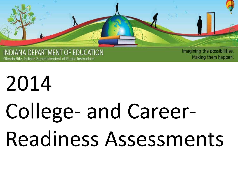

INDIANA DEPARTMENT OF EDUCATION Glenda Ritz, Indiana Superintendent of Public Instruction

Imagining the possibilities. Making them happen.

# 2014 College- and Career-Readiness Assessments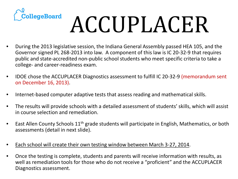

# ACCUPLACER

- During the 2013 legislative session, the Indiana General Assembly passed HEA 105, and the Governor signed PL 268-2013 into law. A component of this law is IC 20-32-9 that requires public and state-accredited non-public school students who meet specific criteria to take a college- and career-readiness exam.
- IDOE chose the ACCUPLACER Diagnostics assessment to fulfill IC 20-32-9 (memorandum sent on December 16, 2013).
- Internet-based computer adaptive tests that assess reading and mathematical skills.
- The results will provide schools with a detailed assessment of students' skills, which will assist in course selection and remediation.
- East Allen County Schools  $11<sup>th</sup>$  grade students will participate in English, Mathematics, or both assessments (detail in next slide).
- Each school will create their own testing window between March 3-27, 2014.
- Once the testing is complete, students and parents will receive information with results, as well as remediation tools for those who do not receive a "proficient" and the ACCUPLACER Diagnostics assessment.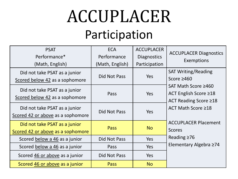## ACCUPLACER

### Participation

| <b>PSAT</b><br>Performance*<br>(Math, English)                     | <b>ECA</b><br>Performance<br>(Math, English) | <b>ACCUPLACER</b><br><b>Diagnostics</b><br>Participation | <b>ACCUPLACER Diagnostics</b><br>Exemptions                                                                                                                                                                                                        |
|--------------------------------------------------------------------|----------------------------------------------|----------------------------------------------------------|----------------------------------------------------------------------------------------------------------------------------------------------------------------------------------------------------------------------------------------------------|
| Did not take PSAT as a junior<br>Scored below 42 as a sophomore    | Did Not Pass                                 | Yes                                                      | <b>SAT Writing/Reading</b><br>Score $\geq 460$<br>SAT Math Score ≥460<br>ACT English Score $\geq$ 18<br>ACT Reading Score ≥18<br>ACT Math Score ≥18<br><b>ACCUPLACER Placement</b><br><b>Scores</b><br>Reading $\geq 76$<br>Elementary Algebra ≥74 |
| Did not take PSAT as a junior<br>Scored below 42 as a sophomore    | Pass                                         | Yes                                                      |                                                                                                                                                                                                                                                    |
| Did not take PSAT as a junior<br>Scored 42 or above as a sophomore | Did Not Pass                                 | Yes                                                      |                                                                                                                                                                                                                                                    |
| Did not take PSAT as a junior<br>Scored 42 or above as a sophomore | <b>Pass</b>                                  | <b>No</b>                                                |                                                                                                                                                                                                                                                    |
| Scored below a 46 as a junior                                      | Did Not Pass                                 | Yes                                                      |                                                                                                                                                                                                                                                    |
| Scored below a 46 as a junior                                      | Pass                                         | Yes                                                      |                                                                                                                                                                                                                                                    |
| Scored 46 or above as a junior                                     | Did Not Pass                                 | Yes                                                      |                                                                                                                                                                                                                                                    |
| Scored 46 or above as a junior                                     | Pass                                         | <b>No</b>                                                |                                                                                                                                                                                                                                                    |